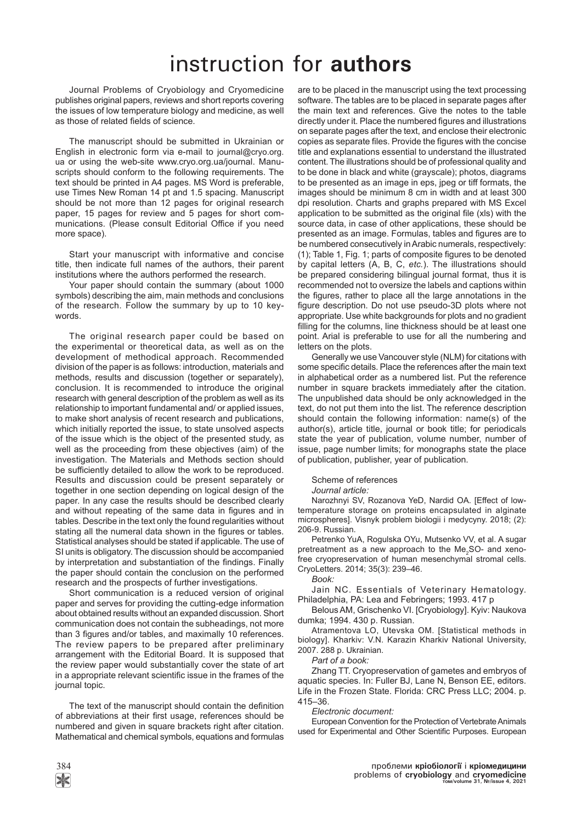## instruction for **authors**

Journal Problems of Cryobiology and Cryomedicine publishes original papers, reviews and short reports covering the issues of low temperature biology and medicine, as well as those of related fields of science.

The manuscript should be submitted in Ukrainian or English in electronic form via e-mail to journal@cryo.org. ua or using the web-site www.cryo.org.ua/journal. Manuscripts should conform to the following requirements. The text should be printed in A4 pages. MS Word is preferable, use Times New Roman 14 pt and 1.5 spacing. Manuscript should be not more than 12 pages for original research paper, 15 pages for review and 5 pages for short communications. (Please consult Editorial Office if you need more space).

Start your manuscript with informative and concise title, then indicate full names of the authors, their parent institutions where the authors performed the research.

Your paper should contain the summary (about 1000 symbols) describing the aim, main methods and conclusions of the research. Follow the summary by up to 10 keywords.

The original research paper could be based on the experimental or theoretical data, as well as on the development of methodical approach. Recommended division of the paper is as follows: introduction, materials and methods, results and discussion (together or separately), conclusion. It is recommended to introduce the original research with general description of the problem as well as its relationship to important fundamental and/ or applied issues, to make short analysis of recent research and publications, which initially reported the issue, to state unsolved aspects of the issue which is the object of the presented study, as well as the proceeding from these objectives (aim) of the investigation. The Materials and Methods section should be sufficiently detailed to allow the work to be reproduced. Results and discussion could be present separately or together in one section depending on logical design of the paper. In any case the results should be described clearly and without repeating of the same data in figures and in tables. Describe in the text only the found regularities without stating all the numeral data shown in the figures or tables. Statistical analyses should be stated if applicable. The use of SI units is obligatory. The discussion should be accompanied by interpretation and substantiation of the findings. Finally the paper should contain the conclusion on the performed research and the prospects of further investigations.

Short communication is a reduced version of original paper and serves for providing the cutting-edge information about obtained results without an expanded discussion. Short communication does not contain the subheadings, not more than 3 figures and/or tables, and maximally 10 references. The review papers to be prepared after preliminary arrangement with the Editorial Board. It is supposed that the review paper would substantially cover the state of art in a appropriate relevant scientific issue in the frames of the journal topic.

The text of the manuscript should contain the definition of abbreviations at their first usage, references should be numbered and given in square brackets right after citation. Mathematical and chemical symbols, equations and formulas are to be placed in the manuscript using the text processing software. The tables are to be placed in separate pages after the main text and references. Give the notes to the table directly under it. Place the numbered figures and illustrations on separate pages after the text, and enclose their electronic copies as separate files. Provide the figures with the concise title and explanations essential to understand the illustrated content. The illustrations should be of professional quality and to be done in black and white (grayscale); photos, diagrams to be presented as an image in eps, jpeg or tiff formats, the images should be minimum 8 cm in width and at least 300 dpi resolution. Charts and graphs prepared with MS Excel application to be submitted as the original file (xls) with the source data, in case of other applications, these should be presented as an image. Formulas, tables and figures are to be numbered consecutively in Arabic numerals, respectively:  $(1)$ ; Table 1, Fig. 1; parts of composite figures to be denoted by capital letters (A, B, C, *etc.*). The illustrations should be prepared considering bilingual journal format, thus it is recommended not to oversize the labels and captions within the figures, rather to place all the large annotations in the figure description. Do not use pseudo-3D plots where not appropriate. Use white backgrounds for plots and no gradient filling for the columns, line thickness should be at least one point. Arial is preferable to use for all the numbering and letters on the plots.

Generally we use Vancouver style (NLM) for citations with some specific details. Place the references after the main text in alphabetical order as a numbered list. Put the reference number in square brackets immediately after the citation. The unpublished data should be only acknowledged in the text, do not put them into the list. The reference description should contain the following information: name(s) of the author(s), article title, journal or book title; for periodicals state the year of publication, volume number, number of issue, page number limits; for monographs state the place of publication, publisher, year of publication.

Scheme of references

*Journal article:* 

Narozhnyi SV, Rozanova YeD, Nardid OA. [Effect of lowtemperature storage on proteins encapsulated in alginate microspheres]. Visnyk problem biologii i medycyny. 2018; (2): 206-9. Russian.

Petrenko YuA, Rogulska OYu, Mutsenko VV, et al. A sugar pretreatment as a new approach to the  $Me<sub>2</sub>SO-$  and xenofree cryopreservation of human mesenchymal stromal cells. CryoLetters. 2014; 35(3): 239–46.

*Book:* 

Jain NC. Essentials of Veterinary Hematology. Philadelphia, PA: Lea and Febringers; 1993. 417 p

Belous AM, Grischenko VI. [Cryobiology]. Kyiv: Naukova dumka; 1994. 430 p. Russian.

Atramentova LO, Utevska OM. [Statistical methods in biology]. Kharkiv: V.N. Karazin Kharkiv National University, 2007. 288 p. Ukrainian.

*Part of a book:*

Zhang TT. Cryopreservation of gametes and embryos of aquatic species. In: Fuller BJ, Lane N, Benson EE, editors. Life in the Frozen State. Florida: CRC Press LLC; 2004. p. 415–36.

*Electronic document:* 

European Convention for the Protection of Vertebrate Animals used for Experimental and Other Scientific Purposes. European